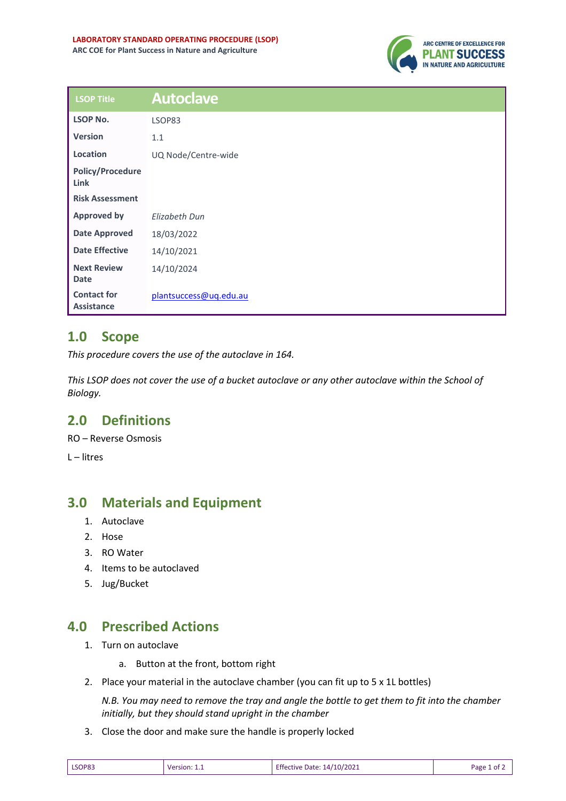

| <b>LSOP Title</b>                       | <b>Autoclave</b>       |
|-----------------------------------------|------------------------|
| <b>LSOP No.</b>                         | LSOP83                 |
| <b>Version</b>                          | 1.1                    |
| Location                                | UQ Node/Centre-wide    |
| <b>Policy/Procedure</b><br>Link         |                        |
| <b>Risk Assessment</b>                  |                        |
| <b>Approved by</b>                      | Elizabeth Dun          |
| <b>Date Approved</b>                    | 18/03/2022             |
| <b>Date Effective</b>                   | 14/10/2021             |
| <b>Next Review</b><br><b>Date</b>       | 14/10/2024             |
| <b>Contact for</b><br><b>Assistance</b> | plantsuccess@uq.edu.au |

## **1.0 Scope**

*This procedure covers the use of the autoclave in 164.* 

*This LSOP does not cover the use of a bucket autoclave or any other autoclave within the School of Biology.* 

## **2.0 Definitions**

RO – Reverse Osmosis

L – litres

## **3.0 Materials and Equipment**

- 1. Autoclave
- 2. Hose
- 3. RO Water
- 4. Items to be autoclaved
- 5. Jug/Bucket

## **4.0 Prescribed Actions**

- 1. Turn on autoclave
	- a. Button at the front, bottom right
- 2. Place your material in the autoclave chamber (you can fit up to 5 x 1L bottles)

*N.B. You may need to remove the tray and angle the bottle to get them to fit into the chamber initially, but they should stand upright in the chamber*

3. Close the door and make sure the handle is properly locked

| <b>Effective Date: 14/10/2021</b><br>LSOP83<br>Page 1<br>Version: 1.1<br>`ot`∠ |
|--------------------------------------------------------------------------------|
|--------------------------------------------------------------------------------|